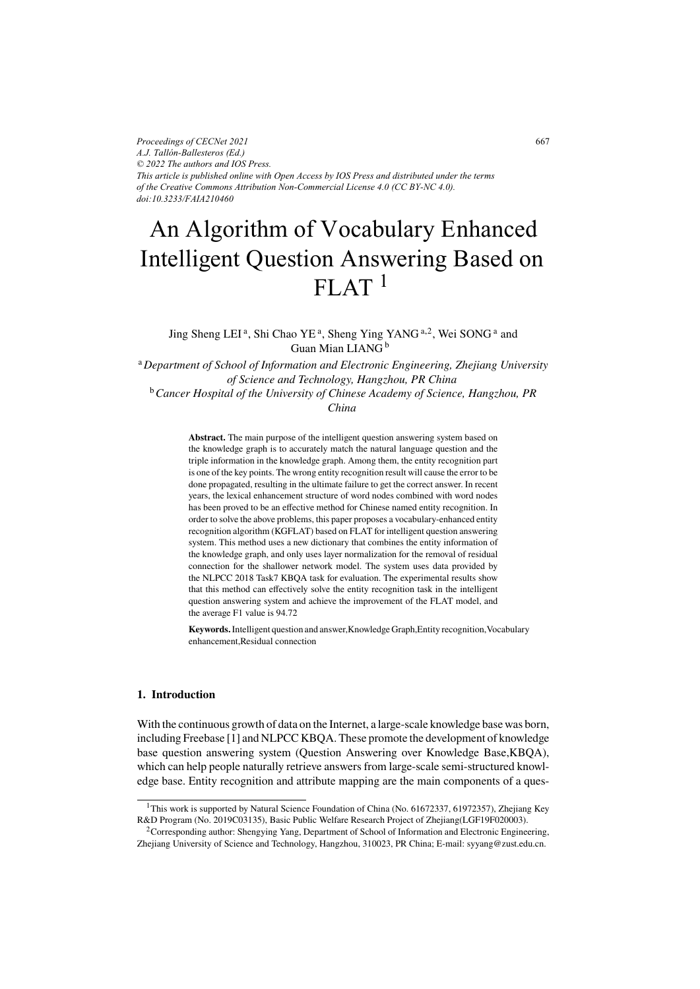*Proceedings of CECNet 2021 A.J. Tallón-Ballesteros (Ed.) © 2022 The authors and IOS Press. This article is published online with Open Access by IOS Press and distributed under the terms of the Creative Commons Attribution Non-Commercial License 4.0 (CC BY-NC 4.0). doi:10.3233/FAIA210460*

# An Algorithm of Vocabulary Enhanced  $FIAT$ <sup>1</sup> Intelligent Question Answering Based on

Jing Sheng LEI<sup>a</sup>, Shi Chao YE<sup>a</sup>, Sheng Ying YANG<sup>a,2</sup>, Wei SONG<sup>a</sup> and Guan Mian LIANG <sup>b</sup>

<sup>a</sup>*Department of School of Information and Electronic Engineering, Zhejiang University of Science and Technology, Hangzhou, PR China* <sup>b</sup>*Cancer Hospital of the University of Chinese Academy of Science, Hangzhou, PR China*

> **Abstract.** The main purpose of the intelligent question answering system based on the knowledge graph is to accurately match the natural language question and the triple information in the knowledge graph. Among them, the entity recognition part is one of the key points. The wrong entity recognition result will cause the error to be done propagated, resulting in the ultimate failure to get the correct answer. In recent years, the lexical enhancement structure of word nodes combined with word nodes has been proved to be an effective method for Chinese named entity recognition. In order to solve the above problems, this paper proposes a vocabulary-enhanced entity recognition algorithm (KGFLAT) based on FLAT for intelligent question answering system. This method uses a new dictionary that combines the entity information of the knowledge graph, and only uses layer normalization for the removal of residual connection for the shallower network model. The system uses data provided by the NLPCC 2018 Task7 KBQA task for evaluation. The experimental results show that this method can effectively solve the entity recognition task in the intelligent question answering system and achieve the improvement of the FLAT model, and the average F1 value is 94.72

**Keywords.**Intelligent question and answer,Knowledge Graph,Entity recognition,Vocabulary enhancement,Residual connection

## **1. Introduction**

With the continuous growth of data on the Internet, a large-scale knowledge base was born, including Freebase [1] and NLPCC KBQA. These promote the development of knowledge base question answering system (Question Answering over Knowledge Base,KBQA), which can help people naturally retrieve answers from large-scale semi-structured knowledge base. Entity recognition and attribute mapping are the main components of a ques-

<sup>&</sup>lt;sup>1</sup>This work is supported by Natural Science Foundation of China (No. 61672337, 61972357), Zhejiang Key R&D Program (No. 2019C03135), Basic Public Welfare Research Project of Zhejiang(LGF19F020003).

<sup>2</sup>Corresponding author: Shengying Yang, Department of School of Information and Electronic Engineering, Zhejiang University of Science and Technology, Hangzhou, 310023, PR China; E-mail: syyang@zust.edu.cn.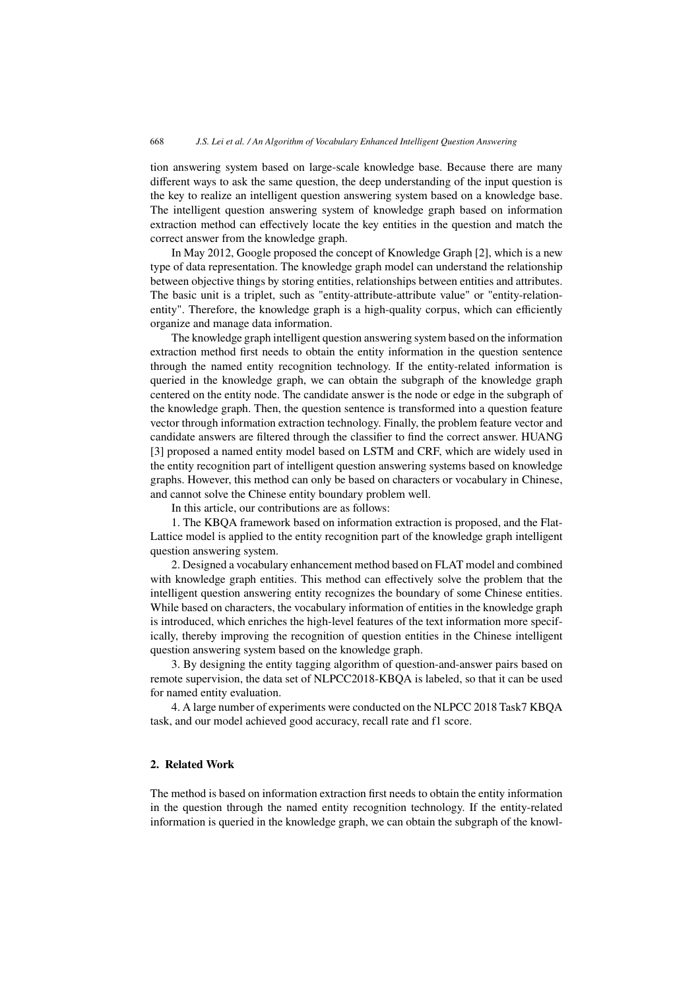tion answering system based on large-scale knowledge base. Because there are many different ways to ask the same question, the deep understanding of the input question is the key to realize an intelligent question answering system based on a knowledge base. The intelligent question answering system of knowledge graph based on information extraction method can effectively locate the key entities in the question and match the correct answer from the knowledge graph.

In May 2012, Google proposed the concept of Knowledge Graph [2], which is a new type of data representation. The knowledge graph model can understand the relationship between objective things by storing entities, relationships between entities and attributes. The basic unit is a triplet, such as "entity-attribute-attribute value" or "entity-relationentity". Therefore, the knowledge graph is a high-quality corpus, which can efficiently organize and manage data information.

The knowledge graph intelligent question answering system based on the information extraction method first needs to obtain the entity information in the question sentence through the named entity recognition technology. If the entity-related information is queried in the knowledge graph, we can obtain the subgraph of the knowledge graph centered on the entity node. The candidate answer is the node or edge in the subgraph of the knowledge graph. Then, the question sentence is transformed into a question feature vector through information extraction technology. Finally, the problem feature vector and candidate answers are filtered through the classifier to find the correct answer. HUANG [3] proposed a named entity model based on LSTM and CRF, which are widely used in the entity recognition part of intelligent question answering systems based on knowledge graphs. However, this method can only be based on characters or vocabulary in Chinese, and cannot solve the Chinese entity boundary problem well.

In this article, our contributions are as follows:

1. The KBQA framework based on information extraction is proposed, and the Flat-Lattice model is applied to the entity recognition part of the knowledge graph intelligent question answering system.

2. Designed a vocabulary enhancement method based on FLAT model and combined with knowledge graph entities. This method can effectively solve the problem that the intelligent question answering entity recognizes the boundary of some Chinese entities. While based on characters, the vocabulary information of entities in the knowledge graph is introduced, which enriches the high-level features of the text information more specifically, thereby improving the recognition of question entities in the Chinese intelligent question answering system based on the knowledge graph.

3. By designing the entity tagging algorithm of question-and-answer pairs based on remote supervision, the data set of NLPCC2018-KBQA is labeled, so that it can be used for named entity evaluation.

4. A large number of experiments were conducted on the NLPCC 2018 Task7 KBQA task, and our model achieved good accuracy, recall rate and f1 score.

#### **2. Related Work**

The method is based on information extraction first needs to obtain the entity information in the question through the named entity recognition technology. If the entity-related information is queried in the knowledge graph, we can obtain the subgraph of the knowl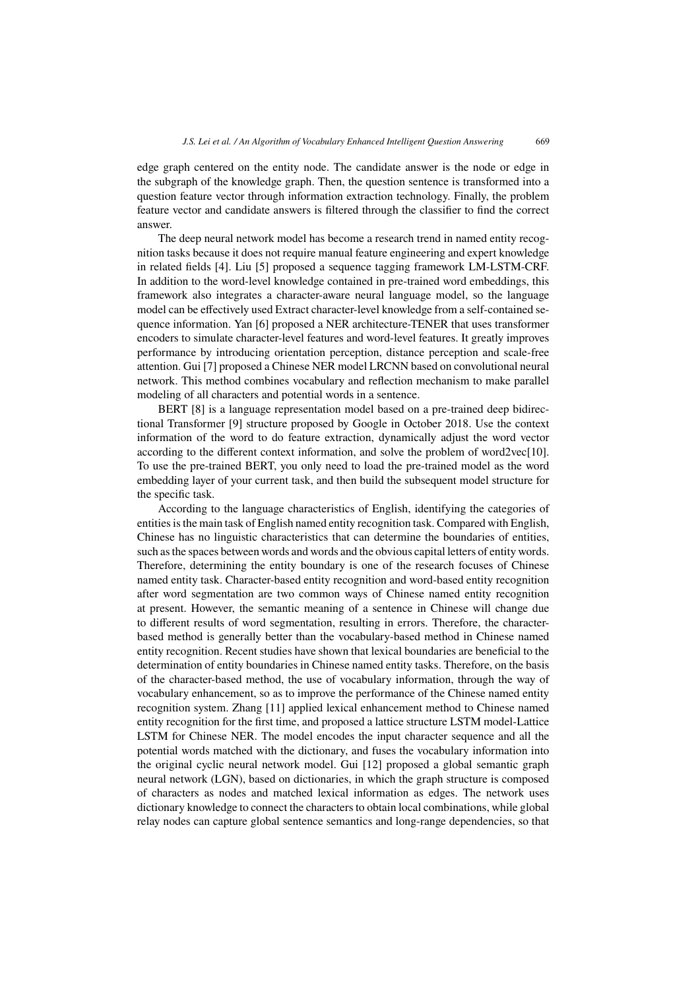edge graph centered on the entity node. The candidate answer is the node or edge in the subgraph of the knowledge graph. Then, the question sentence is transformed into a question feature vector through information extraction technology. Finally, the problem feature vector and candidate answers is filtered through the classifier to find the correct answer.

The deep neural network model has become a research trend in named entity recognition tasks because it does not require manual feature engineering and expert knowledge in related fields [4]. Liu [5] proposed a sequence tagging framework LM-LSTM-CRF. In addition to the word-level knowledge contained in pre-trained word embeddings, this framework also integrates a character-aware neural language model, so the language model can be effectively used Extract character-level knowledge from a self-contained sequence information. Yan [6] proposed a NER architecture-TENER that uses transformer encoders to simulate character-level features and word-level features. It greatly improves performance by introducing orientation perception, distance perception and scale-free attention. Gui [7] proposed a Chinese NER model LRCNN based on convolutional neural network. This method combines vocabulary and reflection mechanism to make parallel modeling of all characters and potential words in a sentence.

BERT [8] is a language representation model based on a pre-trained deep bidirectional Transformer [9] structure proposed by Google in October 2018. Use the context information of the word to do feature extraction, dynamically adjust the word vector according to the different context information, and solve the problem of word2vec[10]. To use the pre-trained BERT, you only need to load the pre-trained model as the word embedding layer of your current task, and then build the subsequent model structure for the specific task.

According to the language characteristics of English, identifying the categories of entities is the main task of English named entity recognition task. Compared with English, Chinese has no linguistic characteristics that can determine the boundaries of entities, such as the spaces between words and words and the obvious capital letters of entity words. Therefore, determining the entity boundary is one of the research focuses of Chinese named entity task. Character-based entity recognition and word-based entity recognition after word segmentation are two common ways of Chinese named entity recognition at present. However, the semantic meaning of a sentence in Chinese will change due to different results of word segmentation, resulting in errors. Therefore, the characterbased method is generally better than the vocabulary-based method in Chinese named entity recognition. Recent studies have shown that lexical boundaries are beneficial to the determination of entity boundaries in Chinese named entity tasks. Therefore, on the basis of the character-based method, the use of vocabulary information, through the way of vocabulary enhancement, so as to improve the performance of the Chinese named entity recognition system. Zhang [11] applied lexical enhancement method to Chinese named entity recognition for the first time, and proposed a lattice structure LSTM model-Lattice LSTM for Chinese NER. The model encodes the input character sequence and all the potential words matched with the dictionary, and fuses the vocabulary information into the original cyclic neural network model. Gui [12] proposed a global semantic graph neural network (LGN), based on dictionaries, in which the graph structure is composed of characters as nodes and matched lexical information as edges. The network uses dictionary knowledge to connect the characters to obtain local combinations, while global relay nodes can capture global sentence semantics and long-range dependencies, so that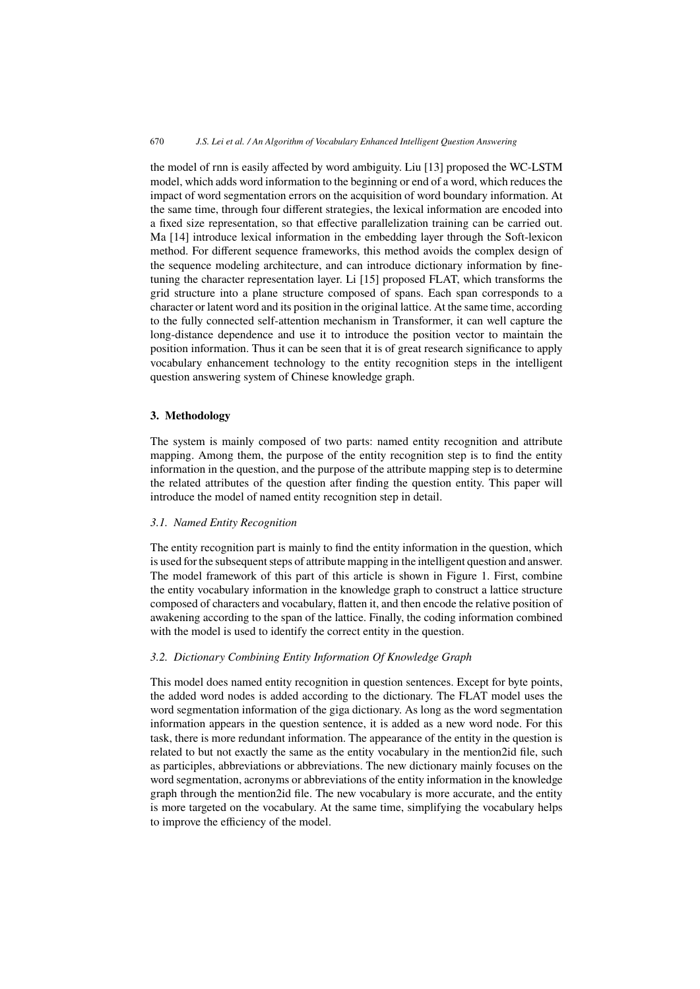the model of rnn is easily affected by word ambiguity. Liu [13] proposed the WC-LSTM model, which adds word information to the beginning or end of a word, which reduces the impact of word segmentation errors on the acquisition of word boundary information. At the same time, through four different strategies, the lexical information are encoded into a fixed size representation, so that effective parallelization training can be carried out. Ma [14] introduce lexical information in the embedding layer through the Soft-lexicon method. For different sequence frameworks, this method avoids the complex design of the sequence modeling architecture, and can introduce dictionary information by finetuning the character representation layer. Li [15] proposed FLAT, which transforms the grid structure into a plane structure composed of spans. Each span corresponds to a character or latent word and its position in the original lattice. At the same time, according to the fully connected self-attention mechanism in Transformer, it can well capture the long-distance dependence and use it to introduce the position vector to maintain the position information. Thus it can be seen that it is of great research significance to apply vocabulary enhancement technology to the entity recognition steps in the intelligent question answering system of Chinese knowledge graph.

## **3. Methodology**

The system is mainly composed of two parts: named entity recognition and attribute mapping. Among them, the purpose of the entity recognition step is to find the entity information in the question, and the purpose of the attribute mapping step is to determine the related attributes of the question after finding the question entity. This paper will introduce the model of named entity recognition step in detail.

## *3.1. Named Entity Recognition*

The entity recognition part is mainly to find the entity information in the question, which is used for the subsequent steps of attribute mapping in the intelligent question and answer. The model framework of this part of this article is shown in Figure 1. First, combine the entity vocabulary information in the knowledge graph to construct a lattice structure composed of characters and vocabulary, flatten it, and then encode the relative position of awakening according to the span of the lattice. Finally, the coding information combined with the model is used to identify the correct entity in the question.

# *3.2. Dictionary Combining Entity Information Of Knowledge Graph*

This model does named entity recognition in question sentences. Except for byte points, the added word nodes is added according to the dictionary. The FLAT model uses the word segmentation information of the giga dictionary. As long as the word segmentation information appears in the question sentence, it is added as a new word node. For this task, there is more redundant information. The appearance of the entity in the question is related to but not exactly the same as the entity vocabulary in the mention2id file, such as participles, abbreviations or abbreviations. The new dictionary mainly focuses on the word segmentation, acronyms or abbreviations of the entity information in the knowledge graph through the mention2id file. The new vocabulary is more accurate, and the entity is more targeted on the vocabulary. At the same time, simplifying the vocabulary helps to improve the efficiency of the model.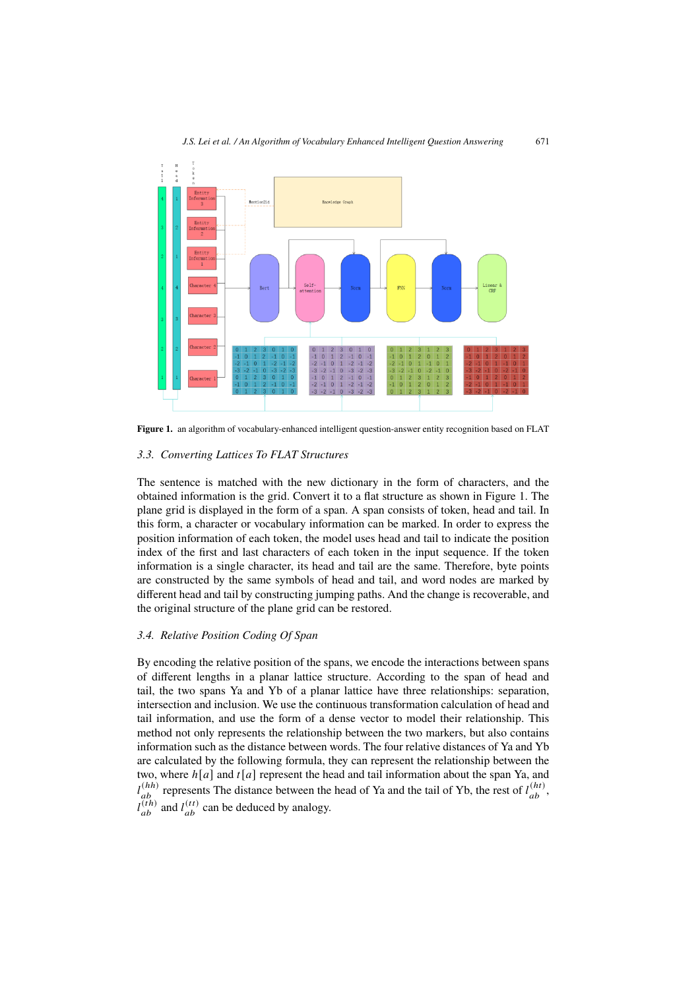

**Figure 1.** an algorithm of vocabulary-enhanced intelligent question-answer entity recognition based on FLAT

#### *3.3. Converting Lattices To FLAT Structures*

The sentence is matched with the new dictionary in the form of characters, and the obtained information is the grid. Convert it to a flat structure as shown in Figure 1. The plane grid is displayed in the form of a span. A span consists of token, head and tail. In this form, a character or vocabulary information can be marked. In order to express the position information of each token, the model uses head and tail to indicate the position index of the first and last characters of each token in the input sequence. If the token information is a single character, its head and tail are the same. Therefore, byte points are constructed by the same symbols of head and tail, and word nodes are marked by different head and tail by constructing jumping paths. And the change is recoverable, and the original structure of the plane grid can be restored.

## *3.4. Relative Position Coding Of Span*

By encoding the relative position of the spans, we encode the interactions between spans of different lengths in a planar lattice structure. According to the span of head and tail, the two spans Ya and Yb of a planar lattice have three relationships: separation, intersection and inclusion. We use the continuous transformation calculation of head and tail information, and use the form of a dense vector to model their relationship. This method not only represents the relationship between the two markers, but also contains information such as the distance between words. The four relative distances of Ya and Yb are calculated by the following formula, they can represent the relationship between the two, where  $h[a]$  and  $t[a]$  represent the head and tail information about the span Ya, and  $l_{ab}^{(hh)}$  represents The distance between the head of Ya and the tail of Yb, the rest of  $l_{ab}^{(ht)}$ ,  $l_{ab}^{(th)}$  and  $l_{ab}^{(tt)}$  can be deduced by analogy.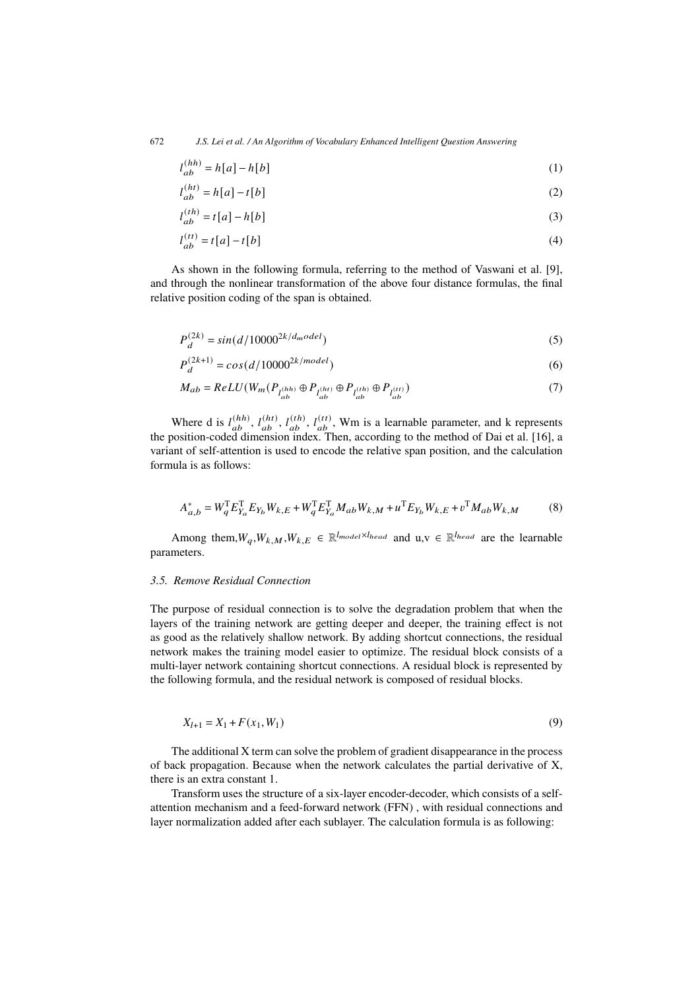$$
l_{ab}^{(hh)} = h[a] - h[b] \tag{1}
$$

$$
l_{ab}^{(ht)} = h[a] - t[b] \tag{2}
$$

$$
l_{ab}^{(th)} = t[a] - h[b] \tag{3}
$$

$$
l_{ab}^{(tt)} = t[a] - t[b] \tag{4}
$$

As shown in the following formula, referring to the method of Vaswani et al. [9], and through the nonlinear transformation of the above four distance formulas, the final relative position coding of the span is obtained.

$$
P_d^{(2k)} = \sin(d/10000^{2k/d_{mod}e} \tag{5}
$$

$$
P_d^{(2k+1)} = \cos(d/10000^{2k/model})\tag{6}
$$

$$
M_{ab} = ReLU(W_m(P_{l_{ab}^{(hh)}} \oplus P_{l_{ab}^{(h)}} \oplus P_{l_{ab}^{(th)}} \oplus P_{l_{ab}^{(t)}}))
$$
\n(7)

Where d is  $l_{ab}^{(hh)}$ ,  $l_{ab}^{(ht)}$ ,  $l_{ab}^{(th)}$ ,  $l_{ab}^{(tt)}$ , Wm is a learnable parameter, and k represents the position-coded dimension index. Then, according to the method of Dai et al. [16], a variant of self-attention is used to encode the relative span position, and the calculation formula is as follows:

$$
A_{a,b}^{*} = W_{q}^{T} E_{Y_{a}}^{T} E_{Y_{b}} W_{k,E} + W_{q}^{T} E_{Y_{a}}^{T} M_{ab} W_{k,M} + u^{T} E_{Y_{b}} W_{k,E} + v^{T} M_{ab} W_{k,M}
$$
(8)

Among them,  $W_q$ ,  $W_{k,M}$ ,  $W_{k,E} \in \mathbb{R}^{l_{model} \times l_{head}}$  and  $u, v \in \mathbb{R}^{l_{head}}$  are the learnable parameters.

## *3.5. Remove Residual Connection*

The purpose of residual connection is to solve the degradation problem that when the layers of the training network are getting deeper and deeper, the training effect is not as good as the relatively shallow network. By adding shortcut connections, the residual network makes the training model easier to optimize. The residual block consists of a multi-layer network containing shortcut connections. A residual block is represented by the following formula, and the residual network is composed of residual blocks.

$$
X_{l+1} = X_1 + F(x_1, W_1) \tag{9}
$$

The additional X term can solve the problem of gradient disappearance in the process of back propagation. Because when the network calculates the partial derivative of X, there is an extra constant 1.

Transform uses the structure of a six-layer encoder-decoder, which consists of a selfattention mechanism and a feed-forward network (FFN) , with residual connections and layer normalization added after each sublayer. The calculation formula is as following: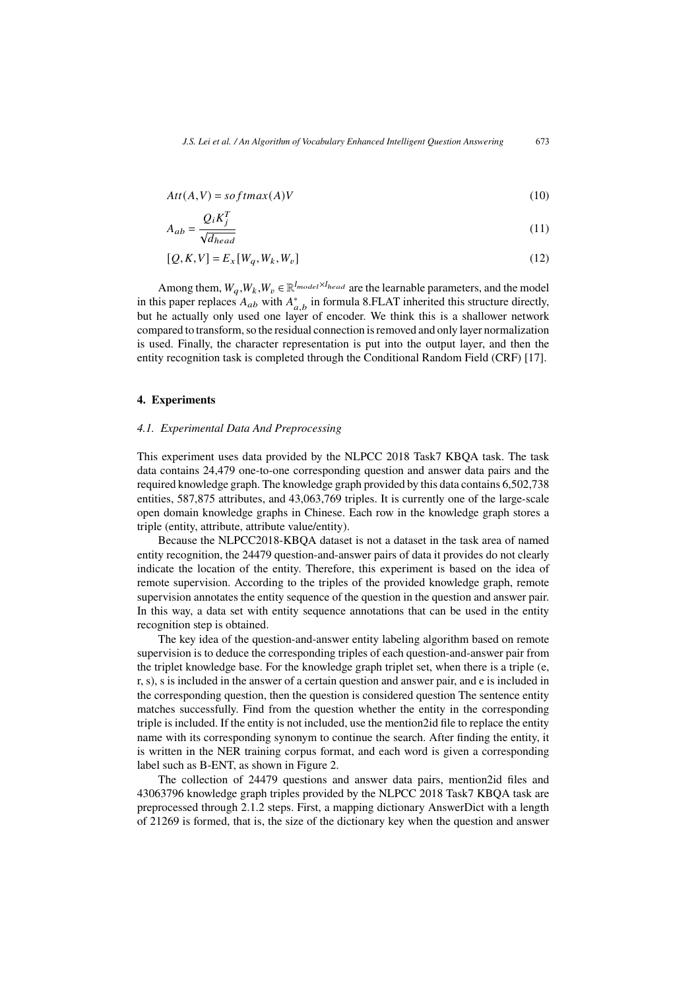$$
Att(A, V) = softmax(A)V
$$
\n(10)

$$
A_{ab} = \frac{Q_i K_j^T}{\sqrt{d_{head}}}
$$
\n<sup>(11)</sup>

$$
[Q, K, V] = E_x[W_q, W_k, W_v]
$$
\n<sup>(12)</sup>

Among them,  $W_a$ ,  $W_k$ ,  $W_v \in \mathbb{R}^{l_{model} \times l_{head}}$  are the learnable parameters, and the model in this paper replaces  $A_{ab}$  with  $A^*_{a,b}$  in formula 8.FLAT inherited this structure directly, but he actually only used one layer of encoder. We think this is a shallower network compared to transform, so the residual connection is removed and only layer normalization is used. Finally, the character representation is put into the output layer, and then the entity recognition task is completed through the Conditional Random Field (CRF) [17].

#### **4. Experiments**

#### *4.1. Experimental Data And Preprocessing*

This experiment uses data provided by the NLPCC 2018 Task7 KBQA task. The task data contains 24,479 one-to-one corresponding question and answer data pairs and the required knowledge graph. The knowledge graph provided by this data contains 6,502,738 entities, 587,875 attributes, and 43,063,769 triples. It is currently one of the large-scale open domain knowledge graphs in Chinese. Each row in the knowledge graph stores a triple (entity, attribute, attribute value/entity).

Because the NLPCC2018-KBQA dataset is not a dataset in the task area of named entity recognition, the 24479 question-and-answer pairs of data it provides do not clearly indicate the location of the entity. Therefore, this experiment is based on the idea of remote supervision. According to the triples of the provided knowledge graph, remote supervision annotates the entity sequence of the question in the question and answer pair. In this way, a data set with entity sequence annotations that can be used in the entity recognition step is obtained.

The key idea of the question-and-answer entity labeling algorithm based on remote supervision is to deduce the corresponding triples of each question-and-answer pair from the triplet knowledge base. For the knowledge graph triplet set, when there is a triple (e, r, s), s is included in the answer of a certain question and answer pair, and e is included in the corresponding question, then the question is considered question The sentence entity matches successfully. Find from the question whether the entity in the corresponding triple is included. If the entity is not included, use the mention2id file to replace the entity name with its corresponding synonym to continue the search. After finding the entity, it is written in the NER training corpus format, and each word is given a corresponding label such as B-ENT, as shown in Figure 2.

The collection of 24479 questions and answer data pairs, mention2id files and 43063796 knowledge graph triples provided by the NLPCC 2018 Task7 KBQA task are preprocessed through 2.1.2 steps. First, a mapping dictionary AnswerDict with a length of 21269 is formed, that is, the size of the dictionary key when the question and answer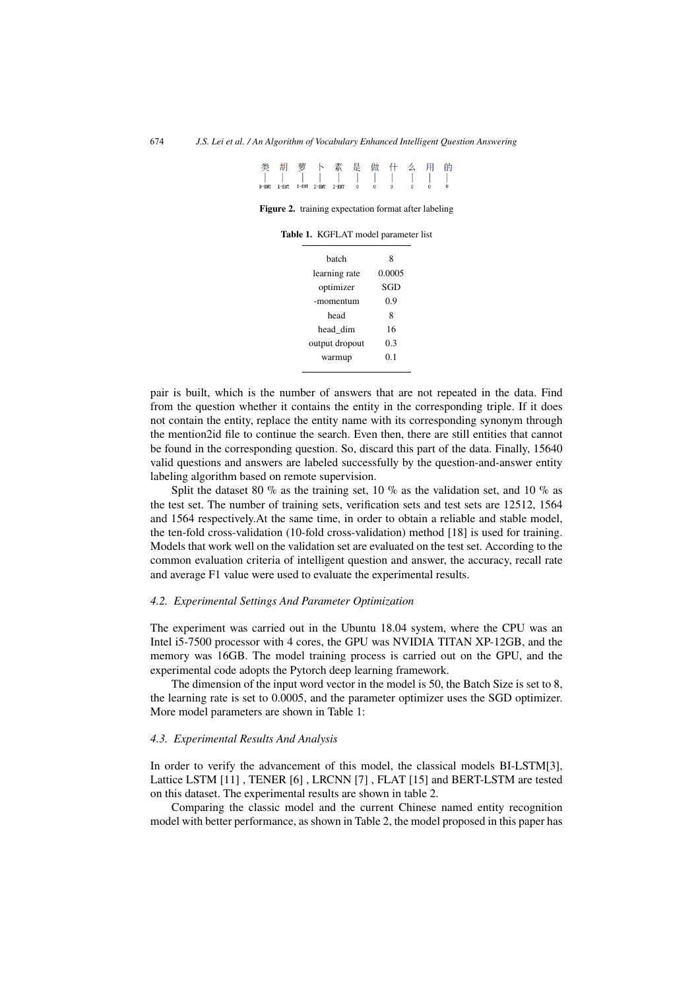类胡萝卜素是做什么 用 的  $B-BNT$   $T-BNT$   $T-BNT$   $T-BNT$   $T-BNT$   $T-BNT$   $0$   $0$   $0$ 

**Figure 2.** training expectation format after labeling

| hatch          | 8      |  |
|----------------|--------|--|
| learning rate  | 0.0005 |  |
| optimizer      | SGD    |  |
| -momentum      | 0.9    |  |
| head           | 8      |  |
| head dim       | 16     |  |
| output dropout | 03     |  |
| warmup         | 0.1    |  |
|                |        |  |

**Table 1.** KGFLAT model parameter list

pair is built, which is the number of answers that are not repeated in the data. Find from the question whether it contains the entity in the corresponding triple. If it does not contain the entity, replace the entity name with its corresponding synonym through the mention2id file to continue the search. Even then, there are still entities that cannot be found in the corresponding question. So, discard this part of the data. Finally, 15640 valid questions and answers are labeled successfully by the question-and-answer entity labeling algorithm based on remote supervision.

Split the dataset 80 % as the training set, 10 % as the validation set, and 10 % as the test set. The number of training sets, verification sets and test sets are 12512, 1564 and 1564 respectively.At the same time, in order to obtain a reliable and stable model, the ten-fold cross-validation (10-fold cross-validation) method [18] is used for training. Models that work well on the validation set are evaluated on the test set. According to the common evaluation criteria of intelligent question and answer, the accuracy, recall rate and average F1 value were used to evaluate the experimental results.

#### *4.2. Experimental Settings And Parameter Optimization*

The experiment was carried out in the Ubuntu 18.04 system, where the CPU was an Intel i5-7500 processor with 4 cores, the GPU was NVIDIA TITAN XP-12GB, and the memory was 16GB. The model training process is carried out on the GPU, and the experimental code adopts the Pytorch deep learning framework.

The dimension of the input word vector in the model is 50, the Batch Size is set to 8, the learning rate is set to 0.0005, and the parameter optimizer uses the SGD optimizer. More model parameters are shown in Table 1:

#### *4.3. Experimental Results And Analysis*

In order to verify the advancement of this model, the classical models BI-LSTM[3], Lattice LSTM [11] , TENER [6] , LRCNN [7] , FLAT [15] and BERT-LSTM are tested on this dataset. The experimental results are shown in table 2.

Comparing the classic model and the current Chinese named entity recognition model with better performance, as shown in Table 2, the model proposed in this paper has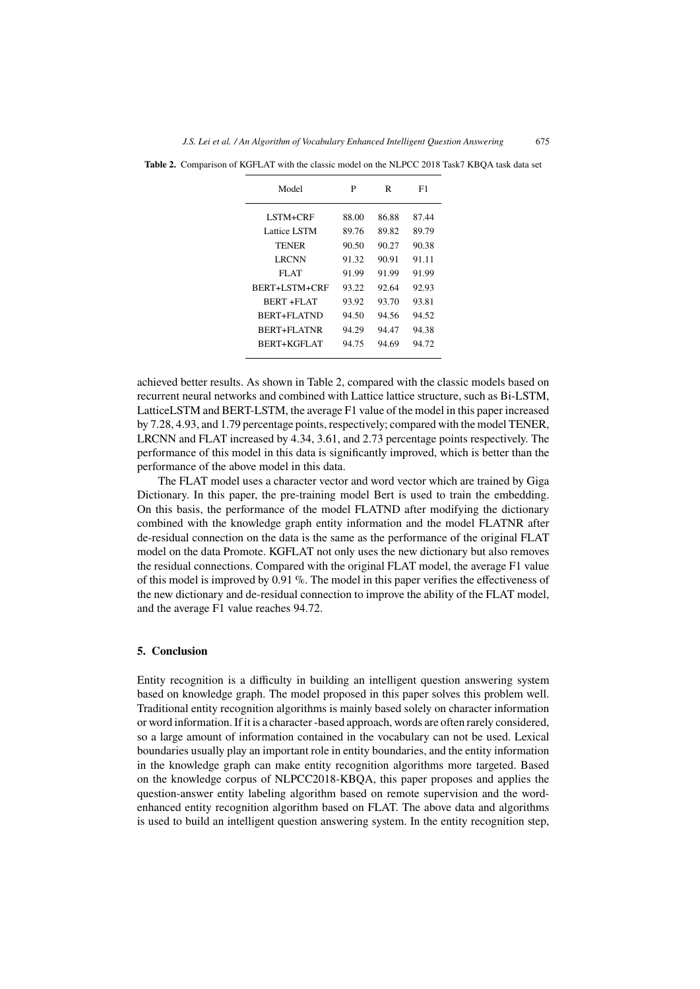| Model                | P     | R     | F1    |
|----------------------|-------|-------|-------|
| LSTM+CRF             | 88.00 | 86.88 | 87.44 |
| Lattice LSTM         | 89.76 | 89.82 | 89.79 |
| <b>TENER</b>         | 90.50 | 90.27 | 90.38 |
| LRCNN                | 91.32 | 90.91 | 91.11 |
| FLAT                 | 91.99 | 91.99 | 91.99 |
| <b>BERT+LSTM+CRF</b> | 93.22 | 92.64 | 92.93 |
| <b>BERT +FLAT</b>    | 93.92 | 93.70 | 93.81 |
| <b>BERT+FLATND</b>   | 94.50 | 94.56 | 94.52 |
| BERT+FLATNR          | 94.29 | 94.47 | 94.38 |
| <b>BERT+KGFLAT</b>   | 94.75 | 94.69 | 94.72 |
|                      |       |       |       |

**Table 2.** Comparison of KGFLAT with the classic model on the NLPCC 2018 Task7 KBQA task data set

achieved better results. As shown in Table 2, compared with the classic models based on recurrent neural networks and combined with Lattice lattice structure, such as Bi-LSTM, LatticeLSTM and BERT-LSTM, the average F1 value of the model in this paper increased by 7.28, 4.93, and 1.79 percentage points, respectively; compared with the model TENER, LRCNN and FLAT increased by 4.34, 3.61, and 2.73 percentage points respectively. The performance of this model in this data is significantly improved, which is better than the performance of the above model in this data.

The FLAT model uses a character vector and word vector which are trained by Giga Dictionary. In this paper, the pre-training model Bert is used to train the embedding. On this basis, the performance of the model FLATND after modifying the dictionary combined with the knowledge graph entity information and the model FLATNR after de-residual connection on the data is the same as the performance of the original FLAT model on the data Promote. KGFLAT not only uses the new dictionary but also removes the residual connections. Compared with the original FLAT model, the average F1 value of this model is improved by 0.91  $\%$ . The model in this paper verifies the effectiveness of the new dictionary and de-residual connection to improve the ability of the FLAT model, and the average F1 value reaches 94.72.

#### **5. Conclusion**

Entity recognition is a difficulty in building an intelligent question answering system based on knowledge graph. The model proposed in this paper solves this problem well. Traditional entity recognition algorithms is mainly based solely on character information or word information. If it is a character -based approach, words are often rarely considered, so a large amount of information contained in the vocabulary can not be used. Lexical boundaries usually play an important role in entity boundaries, and the entity information in the knowledge graph can make entity recognition algorithms more targeted. Based on the knowledge corpus of NLPCC2018-KBQA, this paper proposes and applies the question-answer entity labeling algorithm based on remote supervision and the wordenhanced entity recognition algorithm based on FLAT. The above data and algorithms is used to build an intelligent question answering system. In the entity recognition step,